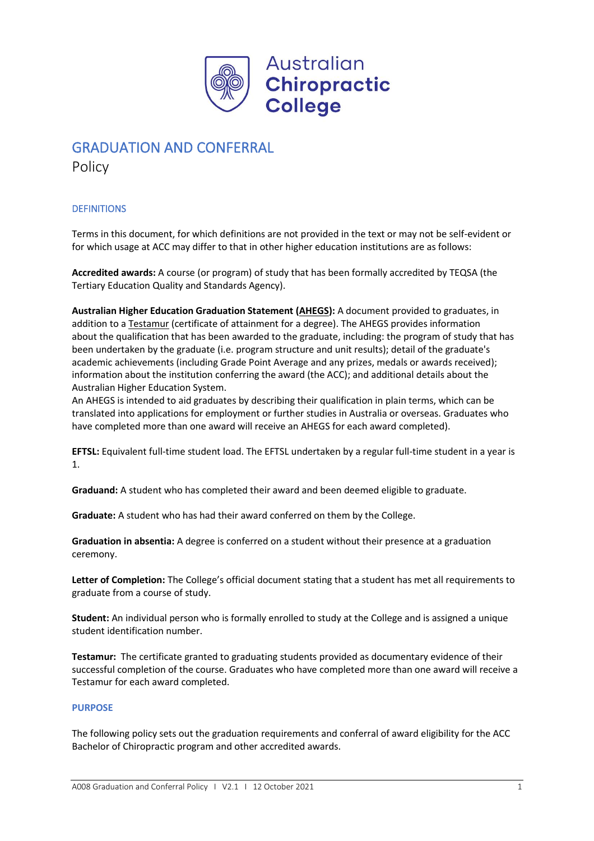

# GRADUATION AND CONFERRAL

Policy

# **DEFINITIONS**

Terms in this document, for which definitions are not provided in the text or may not be self-evident or for which usage at ACC may differ to that in other higher education institutions are as follows:

**Accredited awards:** A course (or program) of study that has been formally accredited by TEQSA (the Tertiary Education Quality and Standards Agency).

**Australian Higher Education Graduation Statement [\(AHEGS\)](https://www.education.gov.au/australian-higher-education-graduation-statement):** A document provided to graduates, in addition to a **[Testamur](http://study.une.edu.au/app/answers/detail/a_id/1996)** (certificate of attainment for a degree). The AHEGS provides information about the qualification that has been awarded to the graduate, including: the program of study that has been undertaken by the graduate (i.e. program structure and unit results); detail of the graduate's academic achievements (including Grade Point Average and any prizes, medals or awards received); information about the institution conferring the award (the ACC); and additional details about the Australian Higher Education System.

An AHEGS is intended to aid graduates by describing their qualification in plain terms, which can be translated into applications for employment or further studies in Australia or overseas. Graduates who have completed more than one award will receive an AHEGS for each award completed).

**EFTSL:** Equivalent full-time student load. The EFTSL undertaken by a regular full-time student in a year is 1.

**Graduand:** A student who has completed their award and been deemed eligible to graduate.

**Graduate:** A student who has had their award conferred on them by the College.

**Graduation in absentia:** A degree is conferred on a student without their presence at a graduation ceremony.

**Letter of Completion:** The College's official document stating that a student has met all requirements to graduate from a course of study.

**Student:** An individual person who is formally enrolled to study at the College and is assigned a unique student identification number.

**Testamur:** The certificate granted to graduating students provided as documentary evidence of their successful completion of the course. Graduates who have completed more than one award will receive a Testamur for each award completed.

## **PURPOSE**

The following policy sets out the graduation requirements and conferral of award eligibility for the ACC Bachelor of Chiropractic program and other accredited awards.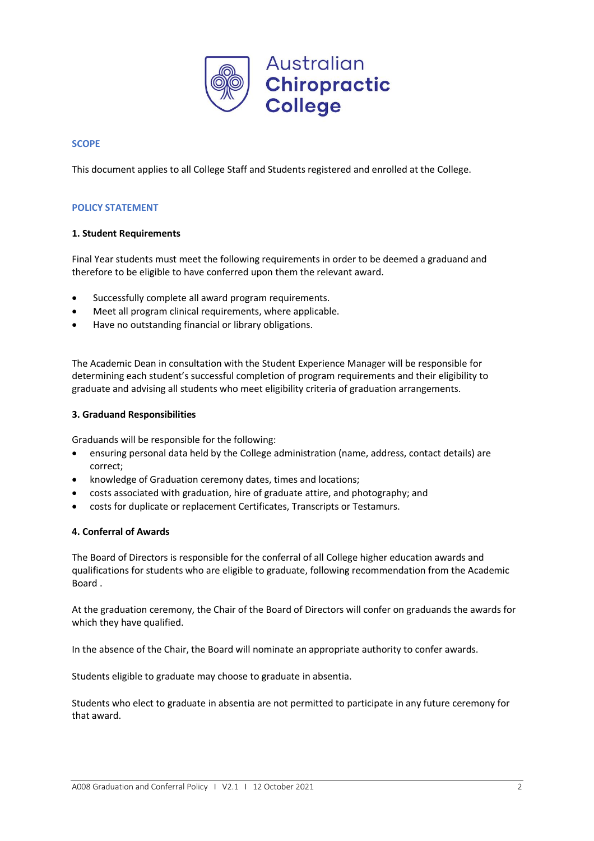

## **SCOPE**

This document applies to all College Staff and Students registered and enrolled at the College.

## **POLICY STATEMENT**

## **1. Student Requirements**

Final Year students must meet the following requirements in order to be deemed a graduand and therefore to be eligible to have conferred upon them the relevant award.

- Successfully complete all award program requirements.
- Meet all program clinical requirements, where applicable.
- Have no outstanding financial or library obligations.

The Academic Dean in consultation with the Student Experience Manager will be responsible for determining each student's successful completion of program requirements and their eligibility to graduate and advising all students who meet eligibility criteria of graduation arrangements.

## **3. Graduand Responsibilities**

Graduands will be responsible for the following:

- ensuring personal data held by the College administration (name, address, contact details) are correct;
- knowledge of Graduation ceremony dates, times and locations;
- costs associated with graduation, hire of graduate attire, and photography; and
- costs for duplicate or replacement Certificates, Transcripts or Testamurs.

## **4. Conferral of Awards**

The Board of Directors is responsible for the conferral of all College higher education awards and qualifications for students who are eligible to graduate, following recommendation from the Academic Board .

At the graduation ceremony, the Chair of the Board of Directors will confer on graduands the awards for which they have qualified.

In the absence of the Chair, the Board will nominate an appropriate authority to confer awards.

Students eligible to graduate may choose to graduate in absentia.

Students who elect to graduate in absentia are not permitted to participate in any future ceremony for that award.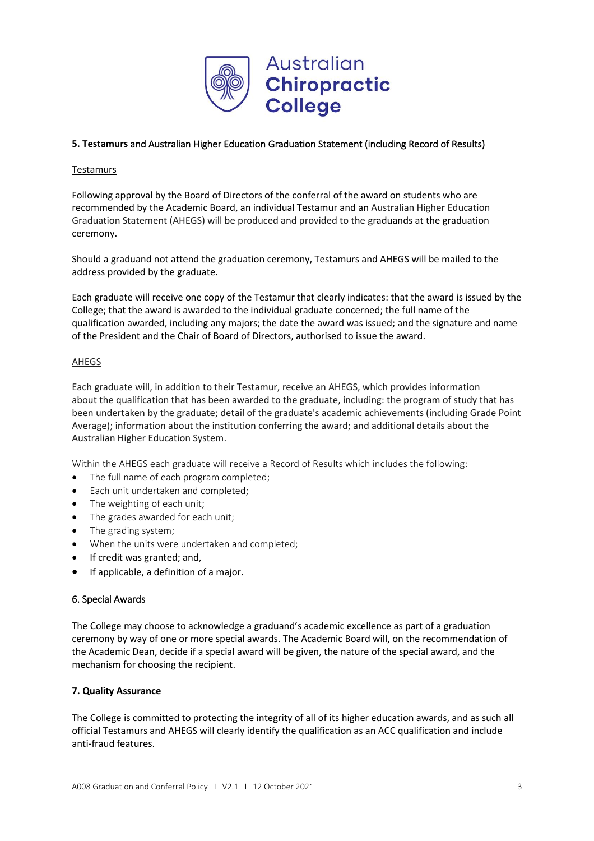

# **5. Testamurs** and Australian Higher Education Graduation Statement (including Record of Results)

## **Testamurs**

Following approval by the Board of Directors of the conferral of the award on students who are recommended by the Academic Board, an individual Testamur and an Australian Higher Education Graduation Statement (AHEGS) will be produced and provided to the graduands at the graduation ceremony.

Should a graduand not attend the graduation ceremony, Testamurs and AHEGS will be mailed to the address provided by the graduate.

Each graduate will receive one copy of the Testamur that clearly indicates: that the award is issued by the College; that the award is awarded to the individual graduate concerned; the full name of the qualification awarded, including any majors; the date the award was issued; and the signature and name of the President and the Chair of Board of Directors, authorised to issue the award.

## AHEGS

Each graduate will, in addition to their Testamur, receive an AHEGS, which provides information about the qualification that has been awarded to the graduate, including: the program of study that has been undertaken by the graduate; detail of the graduate's academic achievements (including Grade Point Average); information about the institution conferring the award; and additional details about the Australian Higher Education System.

Within the AHEGS each graduate will receive a Record of Results which includes the following:

- The full name of each program completed;
- Each unit undertaken and completed;
- The weighting of each unit;
- The grades awarded for each unit;
- The grading system;
- When the units were undertaken and completed;
- If credit was granted; and,
- If applicable, a definition of a major.

## 6. Special Awards

The College may choose to acknowledge a graduand's academic excellence as part of a graduation ceremony by way of one or more special awards. The Academic Board will, on the recommendation of the Academic Dean, decide if a special award will be given, the nature of the special award, and the mechanism for choosing the recipient.

## **7. Quality Assurance**

The College is committed to protecting the integrity of all of its higher education awards, and as such all official Testamurs and AHEGS will clearly identify the qualification as an ACC qualification and include anti-fraud features.